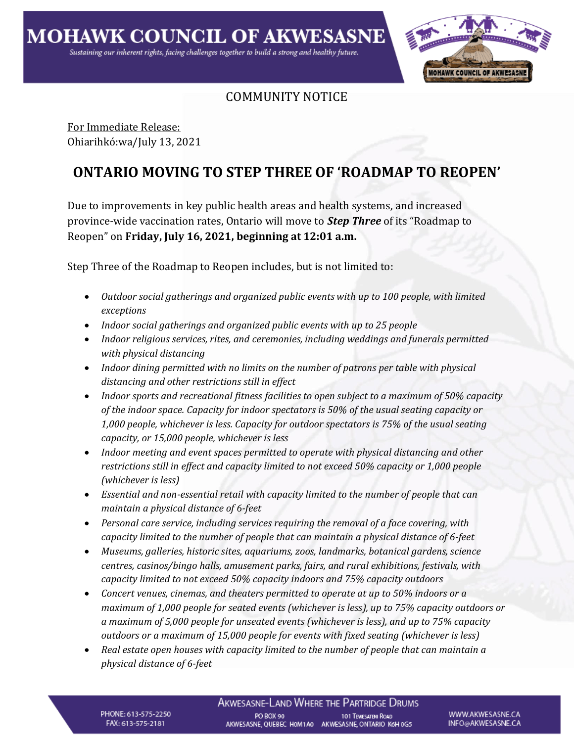

## COMMUNITY NOTICE

For Immediate Release: Ohiarihkó:wa/July 13, 2021

PHONE: 613-575-2250

FAX: 613-575-2181

## **ONTARIO MOVING TO STEP THREE OF 'ROADMAP TO REOPEN'**

Due to improvements in key public health areas and health systems, and increased province-wide vaccination rates, Ontario will move to *Step Three* of its "Roadmap to Reopen" on **Friday, July 16, 2021, beginning at 12:01 a.m.**

Step Three of the Roadmap to Reopen includes, but is not limited to:

- *Outdoor social gatherings and organized public events with up to 100 people, with limited exceptions*
- *Indoor social gatherings and organized public events with up to 25 people*
- *Indoor religious services, rites, and ceremonies, including weddings and funerals permitted with physical distancing*
- *Indoor dining permitted with no limits on the number of patrons per table with physical distancing and other restrictions still in effect*
- *Indoor sports and recreational fitness facilities to open subject to a maximum of 50% capacity of the indoor space. Capacity for indoor spectators is 50% of the usual seating capacity or 1,000 people, whichever is less. Capacity for outdoor spectators is 75% of the usual seating capacity, or 15,000 people, whichever is less*
- *Indoor meeting and event spaces permitted to operate with physical distancing and other restrictions still in effect and capacity limited to not exceed 50% capacity or 1,000 people (whichever is less)*
- *Essential and non-essential retail with capacity limited to the number of people that can maintain a physical distance of 6-feet*
- *Personal care service, including services requiring the removal of a face covering, with capacity limited to the number of people that can maintain a physical distance of 6-feet*
- *Museums, galleries, historic sites, aquariums, zoos, landmarks, botanical gardens, science centres, casinos/bingo halls, amusement parks, fairs, and rural exhibitions, festivals, with capacity limited to not exceed 50% capacity indoors and 75% capacity outdoors*
- *Concert venues, cinemas, and theaters permitted to operate at up to 50% indoors or a maximum of 1,000 people for seated events (whichever is less), up to 75% capacity outdoors or a maximum of 5,000 people for unseated events (whichever is less), and up to 75% capacity outdoors or a maximum of 15,000 people for events with fixed seating (whichever is less)*
- *Real estate open houses with capacity limited to the number of people that can maintain a physical distance of 6-feet*